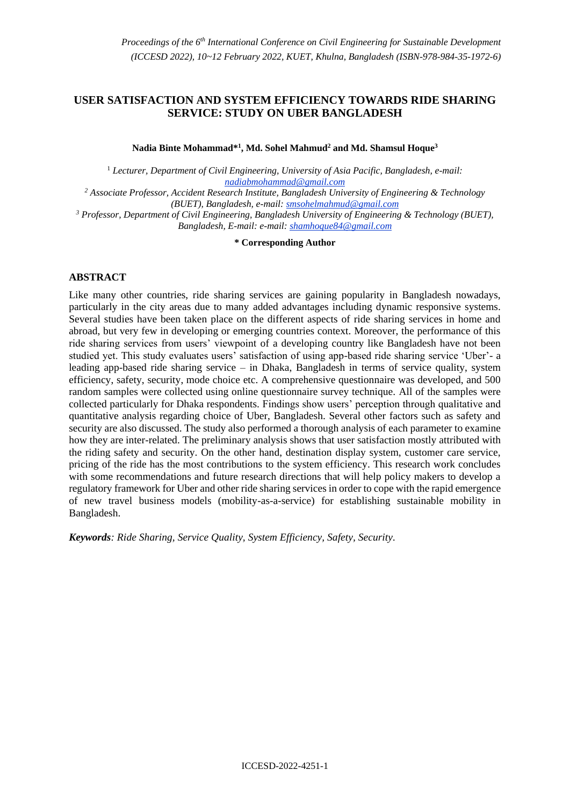# **USER SATISFACTION AND SYSTEM EFFICIENCY TOWARDS RIDE SHARING SERVICE: STUDY ON UBER BANGLADESH**

**Nadia Binte Mohammad\*<sup>1</sup> , Md. Sohel Mahmud<sup>2</sup> and Md. Shamsul Hoque<sup>3</sup>**

<sup>1</sup> *Lecturer, Department of Civil Engineering, University of Asia Pacific, Bangladesh, e-mail: nadiabmohammad@gmail.com*

*<sup>2</sup> Associate Professor, Accident Research Institute, Bangladesh University of Engineering & Technology (BUET), Bangladesh, e-mail: smsohelmahmud@gmail.com*

*<sup>3</sup> Professor, Department of Civil Engineering, Bangladesh University of Engineering & Technology (BUET), Bangladesh, E-mail: e-mail: shamhoque84@gmail.com*

**\* Corresponding Author**

#### **ABSTRACT**

Like many other countries, ride sharing services are gaining popularity in Bangladesh nowadays, particularly in the city areas due to many added advantages including dynamic responsive systems. Several studies have been taken place on the different aspects of ride sharing services in home and abroad, but very few in developing or emerging countries context. Moreover, the performance of this ride sharing services from users' viewpoint of a developing country like Bangladesh have not been studied yet. This study evaluates users' satisfaction of using app-based ride sharing service 'Uber'- a leading app-based ride sharing service – in Dhaka, Bangladesh in terms of service quality, system efficiency, safety, security, mode choice etc. A comprehensive questionnaire was developed, and 500 random samples were collected using online questionnaire survey technique. All of the samples were collected particularly for Dhaka respondents. Findings show users' perception through qualitative and quantitative analysis regarding choice of Uber, Bangladesh. Several other factors such as safety and security are also discussed. The study also performed a thorough analysis of each parameter to examine how they are inter-related. The preliminary analysis shows that user satisfaction mostly attributed with the riding safety and security. On the other hand, destination display system, customer care service, pricing of the ride has the most contributions to the system efficiency. This research work concludes with some recommendations and future research directions that will help policy makers to develop a regulatory framework for Uber and other ride sharing services in order to cope with the rapid emergence of new travel business models (mobility-as-a-service) for establishing sustainable mobility in Bangladesh.

*Keywords: Ride Sharing, Service Quality, System Efficiency, Safety, Security.*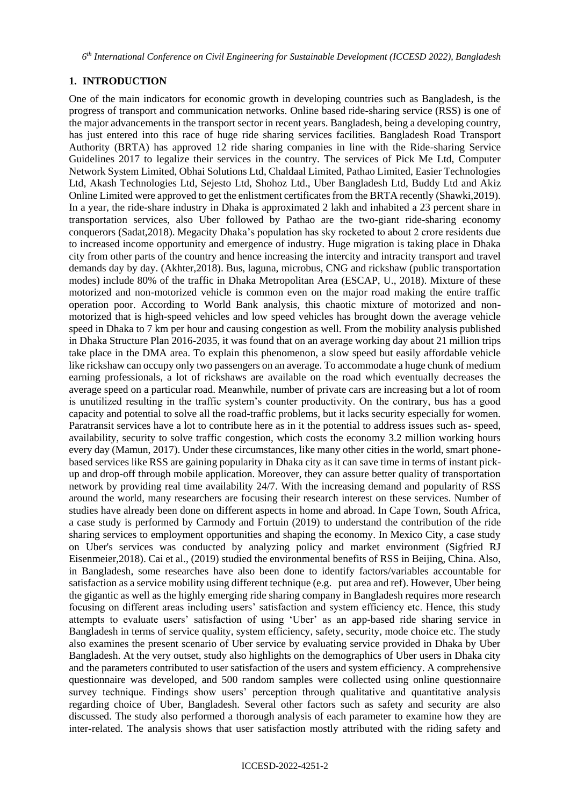*6 th International Conference on Civil Engineering for Sustainable Development (ICCESD 2022), Bangladesh*

#### **1. INTRODUCTION**

One of the main indicators for economic growth in developing countries such as Bangladesh, is the progress of transport and communication networks. Online based ride-sharing service (RSS) is one of the major advancements in the transport sector in recent years. Bangladesh, being a developing country, has just entered into this race of huge ride sharing services facilities. Bangladesh Road Transport Authority (BRTA) has approved 12 ride sharing companies in line with the Ride-sharing Service Guidelines 2017 to legalize their services in the country. The services of Pick Me Ltd, Computer Network System Limited, Obhai Solutions Ltd, Chaldaal Limited, Pathao Limited, Easier Technologies Ltd, Akash Technologies Ltd, Sejesto Ltd, Shohoz Ltd., Uber Bangladesh Ltd, Buddy Ltd and Akiz Online Limited were approved to get the enlistment certificates from the BRTA recently (Shawki,2019). In a year, the ride-share industry in Dhaka is approximated 2 lakh and inhabited a 23 percent share in transportation services, also Uber followed by Pathao are the two-giant ride-sharing economy conquerors (Sadat,2018). Megacity Dhaka's population has sky rocketed to about 2 crore residents due to increased income opportunity and emergence of industry. Huge migration is taking place in Dhaka city from other parts of the country and hence increasing the intercity and intracity transport and travel demands day by day. (Akhter,2018). Bus, laguna, microbus, CNG and rickshaw (public transportation modes) include 80% of the traffic in Dhaka Metropolitan Area (ESCAP, U., 2018). Mixture of these motorized and non-motorized vehicle is common even on the major road making the entire traffic operation poor. According to World Bank analysis, this chaotic mixture of motorized and nonmotorized that is high-speed vehicles and low speed vehicles has brought down the average vehicle speed in Dhaka to 7 km per hour and causing congestion as well. From the mobility analysis published in Dhaka Structure Plan 2016-2035, it was found that on an average working day about 21 million trips take place in the DMA area. To explain this phenomenon, a slow speed but easily affordable vehicle like rickshaw can occupy only two passengers on an average. To accommodate a huge chunk of medium earning professionals, a lot of rickshaws are available on the road which eventually decreases the average speed on a particular road. Meanwhile, number of private cars are increasing but a lot of room is unutilized resulting in the traffic system's counter productivity. On the contrary, bus has a good capacity and potential to solve all the road-traffic problems, but it lacks security especially for women. Paratransit services have a lot to contribute here as in it the potential to address issues such as- speed, availability, security to solve traffic congestion, which costs the economy 3.2 million working hours every day (Mamun, 2017). Under these circumstances, like many other cities in the world, smart phonebased services like RSS are gaining popularity in Dhaka city as it can save time in terms of instant pickup and drop-off through mobile application. Moreover, they can assure better quality of transportation network by providing real time availability 24/7. With the increasing demand and popularity of RSS around the world, many researchers are focusing their research interest on these services. Number of studies have already been done on different aspects in home and abroad. In Cape Town, South Africa, a case study is performed by Carmody and Fortuin (2019) to understand the contribution of the ride sharing services to employment opportunities and shaping the economy. In Mexico City, a case study on Uber's services was conducted by analyzing policy and market environment (Sigfried RJ Eisenmeier,2018). Cai et al., (2019) studied the environmental benefits of RSS in Beijing, China. Also, in Bangladesh, some researches have also been done to identify factors/variables accountable for satisfaction as a service mobility using different technique (e.g. put area and ref). However, Uber being the gigantic as well as the highly emerging ride sharing company in Bangladesh requires more research focusing on different areas including users' satisfaction and system efficiency etc. Hence, this study attempts to evaluate users' satisfaction of using 'Uber' as an app-based ride sharing service in Bangladesh in terms of service quality, system efficiency, safety, security, mode choice etc. The study also examines the present scenario of Uber service by evaluating service provided in Dhaka by Uber Bangladesh. At the very outset, study also highlights on the demographics of Uber users in Dhaka city and the parameters contributed to user satisfaction of the users and system efficiency. A comprehensive questionnaire was developed, and 500 random samples were collected using online questionnaire survey technique. Findings show users' perception through qualitative and quantitative analysis regarding choice of Uber, Bangladesh. Several other factors such as safety and security are also discussed. The study also performed a thorough analysis of each parameter to examine how they are inter-related. The analysis shows that user satisfaction mostly attributed with the riding safety and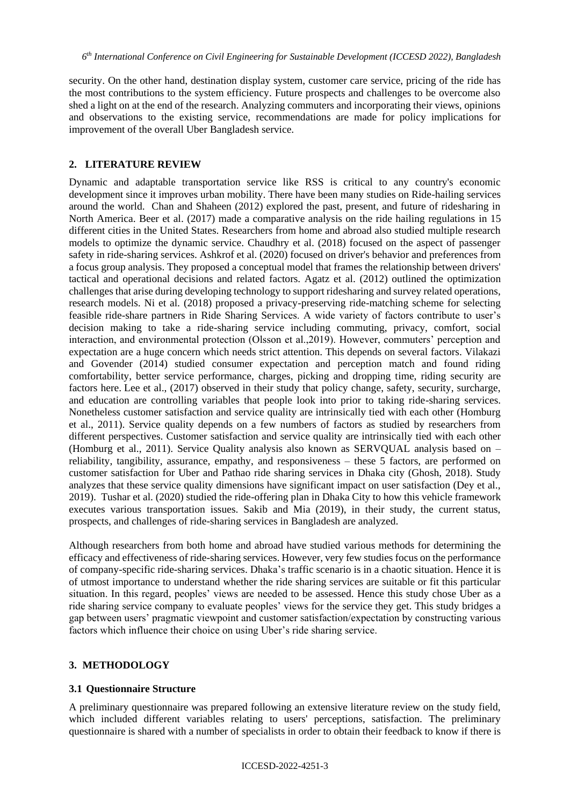security. On the other hand, destination display system, customer care service, pricing of the ride has the most contributions to the system efficiency. Future prospects and challenges to be overcome also shed a light on at the end of the research. Analyzing commuters and incorporating their views, opinions and observations to the existing service, recommendations are made for policy implications for improvement of the overall Uber Bangladesh service.

#### **2. LITERATURE REVIEW**

Dynamic and adaptable transportation service like RSS is critical to any country's economic development since it improves urban mobility. There have been many studies on Ride-hailing services around the world. Chan and Shaheen (2012) explored the past, present, and future of ridesharing in North America. Beer et al. (2017) made a comparative analysis on the ride hailing regulations in 15 different cities in the United States. Researchers from home and abroad also studied multiple research models to optimize the dynamic service. Chaudhry et al. (2018) focused on the aspect of passenger safety in ride-sharing services. Ashkrof et al. (2020) focused on driver's behavior and preferences from a focus group analysis. They proposed a conceptual model that frames the relationship between drivers' tactical and operational decisions and related factors. Agatz et al. (2012) outlined the optimization challenges that arise during developing technology to support ridesharing and survey related operations, research models. Ni et al. (2018) proposed a privacy-preserving ride-matching scheme for selecting feasible ride-share partners in Ride Sharing Services. A wide variety of factors contribute to user's decision making to take a ride-sharing service including commuting, privacy, comfort, social interaction, and environmental protection (Olsson et al.,2019). However, commuters' perception and expectation are a huge concern which needs strict attention. This depends on several factors. Vilakazi and Govender (2014) studied consumer expectation and perception match and found riding comfortability, better service performance, charges, picking and dropping time, riding security are factors here. Lee et al., (2017) observed in their study that policy change, safety, security, surcharge, and education are controlling variables that people look into prior to taking ride-sharing services. Nonetheless customer satisfaction and service quality are intrinsically tied with each other (Homburg et al., 2011). Service quality depends on a few numbers of factors as studied by researchers from different perspectives. Customer satisfaction and service quality are intrinsically tied with each other (Homburg et al., 2011). Service Quality analysis also known as SERVQUAL analysis based on – reliability, tangibility, assurance, empathy, and responsiveness – these 5 factors, are performed on customer satisfaction for Uber and Pathao ride sharing services in Dhaka city (Ghosh, 2018). Study analyzes that these service quality dimensions have significant impact on user satisfaction (Dey et al., 2019). Tushar et al. (2020) studied the ride-offering plan in Dhaka City to how this vehicle framework executes various transportation issues. Sakib and Mia (2019), in their study, the current status, prospects, and challenges of ride-sharing services in Bangladesh are analyzed.

Although researchers from both home and abroad have studied various methods for determining the efficacy and effectiveness of ride-sharing services. However, very few studies focus on the performance of company-specific ride-sharing services. Dhaka's traffic scenario is in a chaotic situation. Hence it is of utmost importance to understand whether the ride sharing services are suitable or fit this particular situation. In this regard, peoples' views are needed to be assessed. Hence this study chose Uber as a ride sharing service company to evaluate peoples' views for the service they get. This study bridges a gap between users' pragmatic viewpoint and customer satisfaction/expectation by constructing various factors which influence their choice on using Uber's ride sharing service.

#### **3. METHODOLOGY**

#### **3.1 Questionnaire Structure**

A preliminary questionnaire was prepared following an extensive literature review on the study field, which included different variables relating to users' perceptions, satisfaction. The preliminary questionnaire is shared with a number of specialists in order to obtain their feedback to know if there is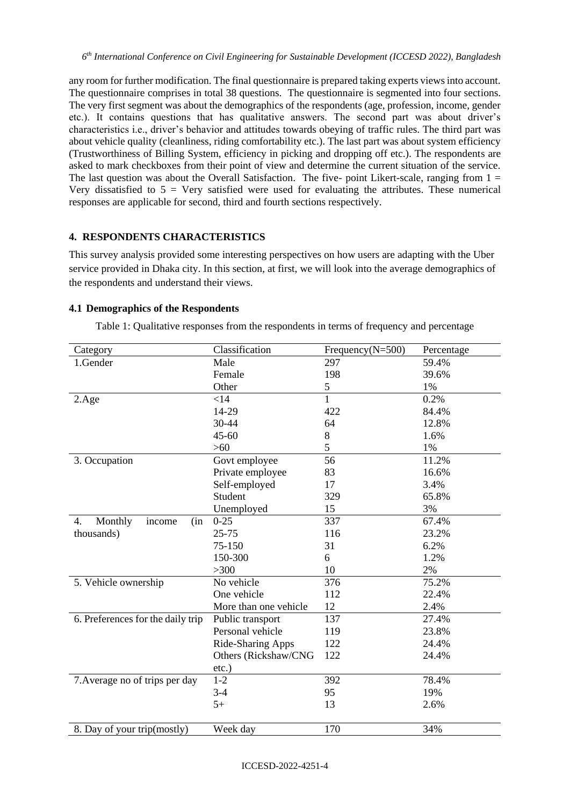any room for further modification. The final questionnaire is prepared taking experts views into account. The questionnaire comprises in total 38 questions. The questionnaire is segmented into four sections. The very first segment was about the demographics of the respondents (age, profession, income, gender etc.). It contains questions that has qualitative answers. The second part was about driver's characteristics i.e., driver's behavior and attitudes towards obeying of traffic rules. The third part was about vehicle quality (cleanliness, riding comfortability etc.). The last part was about system efficiency (Trustworthiness of Billing System, efficiency in picking and dropping off etc.). The respondents are asked to mark checkboxes from their point of view and determine the current situation of the service. The last question was about the Overall Satisfaction. The five- point Likert-scale, ranging from  $1 =$ Very dissatisfied to  $5 =$  Very satisfied were used for evaluating the attributes. These numerical responses are applicable for second, third and fourth sections respectively.

# **4. RESPONDENTS CHARACTERISTICS**

This survey analysis provided some interesting perspectives on how users are adapting with the Uber service provided in Dhaka city. In this section, at first, we will look into the average demographics of the respondents and understand their views.

# **4.1 Demographics of the Respondents**

| Category                          | Classification        | Frequency( $N=500$ ) | Percentage |  |
|-----------------------------------|-----------------------|----------------------|------------|--|
| 1.Gender                          | Male                  | 297                  | 59.4%      |  |
|                                   | Female                | 198                  | 39.6%      |  |
|                                   | Other                 | 5                    | 1%         |  |
| $2. \text{Age}$                   | $<$ 14                | $\mathbf{1}$         | 0.2%       |  |
|                                   | 14-29                 | 422                  | 84.4%      |  |
|                                   | 30-44                 | 64                   | 12.8%      |  |
|                                   | $45 - 60$             | 8                    | 1.6%       |  |
|                                   | $>60$                 | 5                    | 1%         |  |
| 3. Occupation                     | Govt employee         | 56                   | 11.2%      |  |
|                                   | Private employee      | 83                   | 16.6%      |  |
|                                   | Self-employed         | 17                   | 3.4%       |  |
|                                   | Student               | 329                  | 65.8%      |  |
|                                   | Unemployed            | 15                   | 3%         |  |
| Monthly<br>4.<br>income<br>(in    | $0 - 25$              | 337                  | 67.4%      |  |
| thousands)                        | $25 - 75$             | 116                  | 23.2%      |  |
|                                   | 75-150                | 31                   | 6.2%       |  |
|                                   | 150-300               | 6                    | 1.2%       |  |
|                                   | $>300$                | 10                   | 2%         |  |
| 5. Vehicle ownership              | No vehicle            | 376                  | 75.2%      |  |
|                                   | One vehicle           | 112                  | 22.4%      |  |
|                                   | More than one vehicle | 12                   | 2.4%       |  |
| 6. Preferences for the daily trip | Public transport      | 137                  | 27.4%      |  |
|                                   | Personal vehicle      | 119                  | 23.8%      |  |
|                                   | Ride-Sharing Apps     | 122                  | 24.4%      |  |
|                                   | Others (Rickshaw/CNG  | 122                  | 24.4%      |  |
|                                   | $etc.$ )              |                      |            |  |
| 7. Average no of trips per day    | $1-2$                 | 392                  | 78.4%      |  |
|                                   | $3-4$                 | 95                   | 19%        |  |
|                                   | $5+$                  | 13                   | 2.6%       |  |
| 8. Day of your trip(mostly)       | Week day              | 170                  | 34%        |  |

Table 1: Qualitative responses from the respondents in terms of frequency and percentage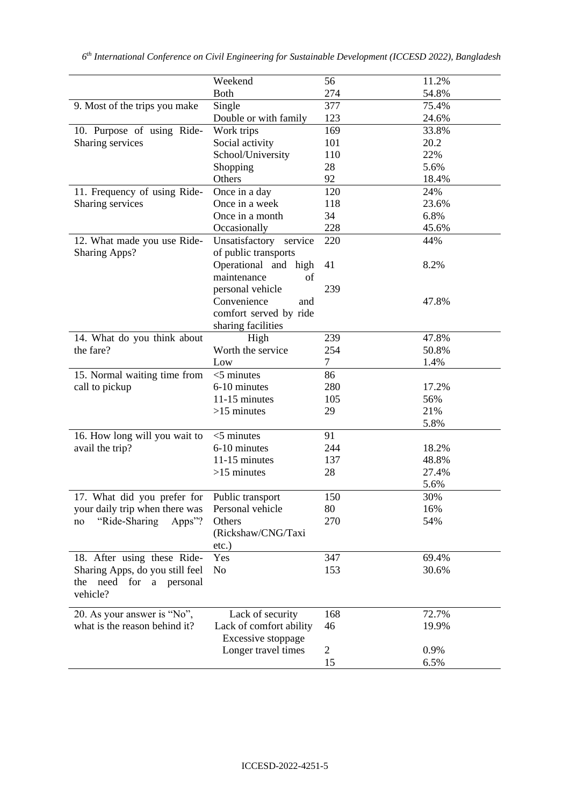|                                 | Weekend                   | 56             | 11.2% |
|---------------------------------|---------------------------|----------------|-------|
|                                 | <b>Both</b>               | 274            | 54.8% |
| 9. Most of the trips you make   | Single                    | 377            | 75.4% |
|                                 | Double or with family     | 123            | 24.6% |
| 10. Purpose of using Ride-      | Work trips                | 169            | 33.8% |
| Sharing services                | Social activity           | 101            | 20.2  |
|                                 | School/University         | 110            | 22%   |
|                                 | Shopping                  | 28             | 5.6%  |
|                                 | Others                    | 92             | 18.4% |
| 11. Frequency of using Ride-    | Once in a day             | 120            | 24%   |
| Sharing services                | Once in a week            | 118            | 23.6% |
|                                 | Once in a month           | 34             | 6.8%  |
|                                 | Occasionally              | 228            | 45.6% |
| 12. What made you use Ride-     | Unsatisfactory<br>service | 220            | 44%   |
| <b>Sharing Apps?</b>            | of public transports      |                |       |
|                                 | Operational and high      | 41             | 8.2%  |
|                                 | maintenance<br>of         |                |       |
|                                 | personal vehicle          | 239            |       |
|                                 | Convenience<br>and        |                | 47.8% |
|                                 | comfort served by ride    |                |       |
|                                 | sharing facilities        |                |       |
| 14. What do you think about     | High                      | 239            | 47.8% |
| the fare?                       | Worth the service         | 254            | 50.8% |
|                                 | Low                       | $\tau$         | 1.4%  |
| 15. Normal waiting time from    | $<$ 5 minutes             | 86             |       |
| call to pickup                  | 6-10 minutes              | 280            | 17.2% |
|                                 | 11-15 minutes             | 105            | 56%   |
|                                 | $>15$ minutes             | 29             | 21%   |
|                                 |                           |                | 5.8%  |
| 16. How long will you wait to   | $<$ 5 minutes             | 91             |       |
| avail the trip?                 | 6-10 minutes              | 244            | 18.2% |
|                                 | 11-15 minutes             | 137            | 48.8% |
|                                 | $>15$ minutes             | 28             | 27.4% |
|                                 |                           |                | 5.6%  |
| 17. What did you prefer for     | Public transport          | 150            | 30%   |
| your daily trip when there was  | Personal vehicle          | 80             | 16%   |
| "Ride-Sharing<br>Apps"?<br>no   | Others                    | 270            | 54%   |
|                                 | (Rickshaw/CNG/Taxi        |                |       |
|                                 | etc.)                     |                |       |
| 18. After using these Ride-     | Yes                       | 347            | 69.4% |
| Sharing Apps, do you still feel | No                        | 153            | 30.6% |
| the need for a personal         |                           |                |       |
| vehicle?                        |                           |                |       |
|                                 |                           |                |       |
| 20. As your answer is "No",     | Lack of security          | 168            | 72.7% |
| what is the reason behind it?   | Lack of comfort ability   | 46             | 19.9% |
|                                 | Excessive stoppage        |                |       |
|                                 | Longer travel times       | $\overline{c}$ | 0.9%  |
|                                 |                           | 15             | 6.5%  |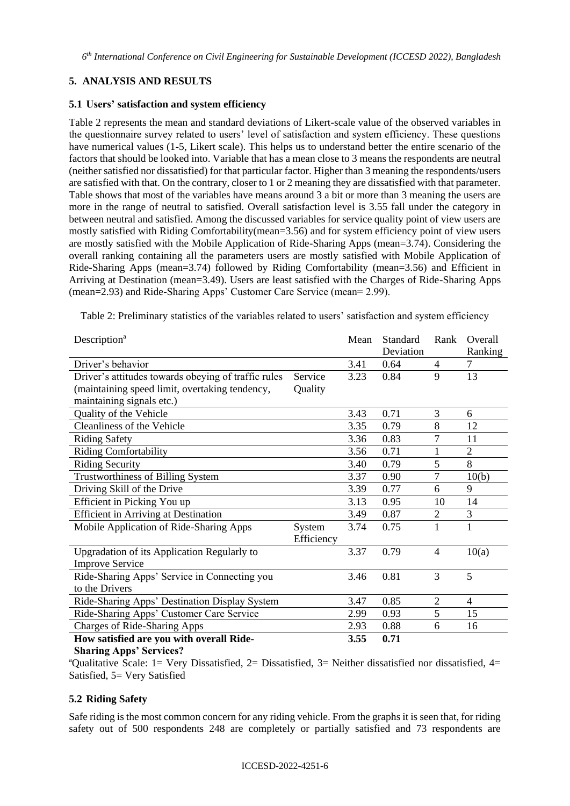# **5. ANALYSIS AND RESULTS**

### **5.1 Users' satisfaction and system efficiency**

Table 2 represents the mean and standard deviations of Likert-scale value of the observed variables in the questionnaire survey related to users' level of satisfaction and system efficiency. These questions have numerical values (1-5, Likert scale). This helps us to understand better the entire scenario of the factors that should be looked into. Variable that has a mean close to 3 means the respondents are neutral (neither satisfied nor dissatisfied) for that particular factor. Higher than 3 meaning the respondents/users are satisfied with that. On the contrary, closer to 1 or 2 meaning they are dissatisfied with that parameter. Table shows that most of the variables have means around 3 a bit or more than 3 meaning the users are more in the range of neutral to satisfied. Overall satisfaction level is 3.55 fall under the category in between neutral and satisfied. Among the discussed variables for service quality point of view users are mostly satisfied with Riding Comfortability(mean=3.56) and for system efficiency point of view users are mostly satisfied with the Mobile Application of Ride-Sharing Apps (mean=3.74). Considering the overall ranking containing all the parameters users are mostly satisfied with Mobile Application of Ride-Sharing Apps (mean=3.74) followed by Riding Comfortability (mean=3.56) and Efficient in Arriving at Destination (mean=3.49). Users are least satisfied with the Charges of Ride-Sharing Apps (mean=2.93) and Ride-Sharing Apps' Customer Care Service (mean= 2.99).

Table 2: Preliminary statistics of the variables related to users' satisfaction and system efficiency

| Description <sup>a</sup>                            |            | Mean | Standard<br>Deviation | Rank           | <b>Overall</b><br>Ranking |
|-----------------------------------------------------|------------|------|-----------------------|----------------|---------------------------|
| Driver's behavior                                   |            | 3.41 | 0.64                  | 4              | 7                         |
| Driver's attitudes towards obeying of traffic rules | Service    | 3.23 | 0.84                  | 9              | 13                        |
| (maintaining speed limit, overtaking tendency,      | Quality    |      |                       |                |                           |
| maintaining signals etc.)                           |            |      |                       |                |                           |
| Quality of the Vehicle                              |            | 3.43 | 0.71                  | 3              | 6                         |
| Cleanliness of the Vehicle                          |            | 3.35 | 0.79                  | 8              | 12                        |
| <b>Riding Safety</b>                                |            | 3.36 | 0.83                  | 7              | 11                        |
| <b>Riding Comfortability</b>                        |            | 3.56 | 0.71                  | 1              | $\overline{2}$            |
| <b>Riding Security</b>                              |            | 3.40 | 0.79                  | 5              | 8                         |
| Trustworthiness of Billing System                   |            | 3.37 | 0.90                  | 7              | 10(b)                     |
| Driving Skill of the Drive                          |            | 3.39 | 0.77                  | 6              | 9                         |
| Efficient in Picking You up                         |            | 3.13 | 0.95                  | 10             | 14                        |
| <b>Efficient in Arriving at Destination</b>         |            | 3.49 | 0.87                  | $\overline{2}$ | 3                         |
| Mobile Application of Ride-Sharing Apps             | System     | 3.74 | 0.75                  | 1              | $\mathbf{1}$              |
|                                                     | Efficiency |      |                       |                |                           |
| Upgradation of its Application Regularly to         |            | 3.37 | 0.79                  | $\overline{4}$ | 10(a)                     |
| <b>Improve Service</b>                              |            |      |                       |                |                           |
| Ride-Sharing Apps' Service in Connecting you        |            | 3.46 | 0.81                  | 3              | 5                         |
| to the Drivers                                      |            |      |                       |                |                           |
| Ride-Sharing Apps' Destination Display System       |            | 3.47 | 0.85                  | $\overline{2}$ | $\overline{4}$            |
| Ride-Sharing Apps' Customer Care Service            |            | 2.99 | 0.93                  | 5              | 15                        |
| Charges of Ride-Sharing Apps                        |            | 2.93 | 0.88                  | 6              | 16                        |
| How satisfied are you with overall Ride-            |            | 3.55 | 0.71                  |                |                           |

**Sharing Apps' Services?** 

<sup>a</sup>Qualitative Scale: 1= Very Dissatisfied, 2= Dissatisfied, 3= Neither dissatisfied nor dissatisfied, 4= Satisfied, 5= Very Satisfied

# **5.2 Riding Safety**

Safe riding is the most common concern for any riding vehicle. From the graphs it is seen that, for riding safety out of 500 respondents 248 are completely or partially satisfied and 73 respondents are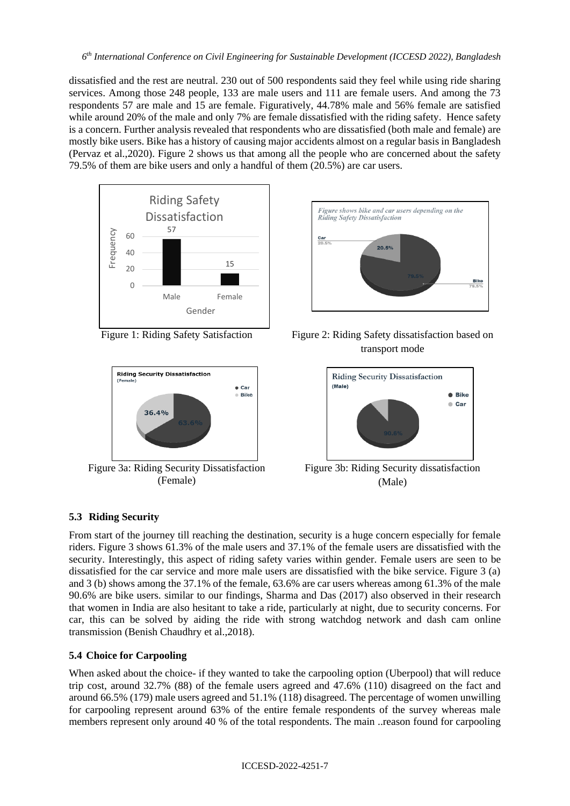dissatisfied and the rest are neutral. 230 out of 500 respondents said they feel while using ride sharing services. Among those 248 people, 133 are male users and 111 are female users. And among the 73 respondents 57 are male and 15 are female. Figuratively, 44.78% male and 56% female are satisfied while around 20% of the male and only 7% are female dissatisfied with the riding safety. Hence safety is a concern. Further analysis revealed that respondents who are dissatisfied (both male and female) are mostly bike users. Bike has a history of causing major accidents almost on a regular basis in Bangladesh (Pervaz et al.,2020). Figure 2 shows us that among all the people who are concerned about the safety 79.5% of them are bike users and only a handful of them (20.5%) are car users.







Figure 3a: Riding Security Dissatisfaction (Female)



Figure 1: Riding Safety Satisfaction Figure 2: Riding Safety dissatisfaction based on transport mode



Figure 3b: Riding Security dissatisfaction (Male)

# **5.3 Riding Security**

From start of the journey till reaching the destination, security is a huge concern especially for female riders. Figure 3 shows 61.3% of the male users and 37.1% of the female users are dissatisfied with the security. Interestingly, this aspect of riding safety varies within gender. Female users are seen to be dissatisfied for the car service and more male users are dissatisfied with the bike service. Figure 3 (a) and 3 (b) shows among the 37.1% of the female, 63.6% are car users whereas among 61.3% of the male 90.6% are bike users. similar to our findings, Sharma and Das (2017) also observed in their research that women in India are also hesitant to take a ride, particularly at night, due to security concerns. For car, this can be solved by aiding the ride with strong watchdog network and dash cam online transmission (Benish Chaudhry et al.,2018).

# **5.4 Choice for Carpooling**

When asked about the choice- if they wanted to take the carpooling option (Uberpool) that will reduce trip cost, around 32.7% (88) of the female users agreed and 47.6% (110) disagreed on the fact and around 66.5% (179) male users agreed and 51.1% (118) disagreed. The percentage of women unwilling for carpooling represent around 63% of the entire female respondents of the survey whereas male members represent only around 40 % of the total respondents. The main ..reason found for carpooling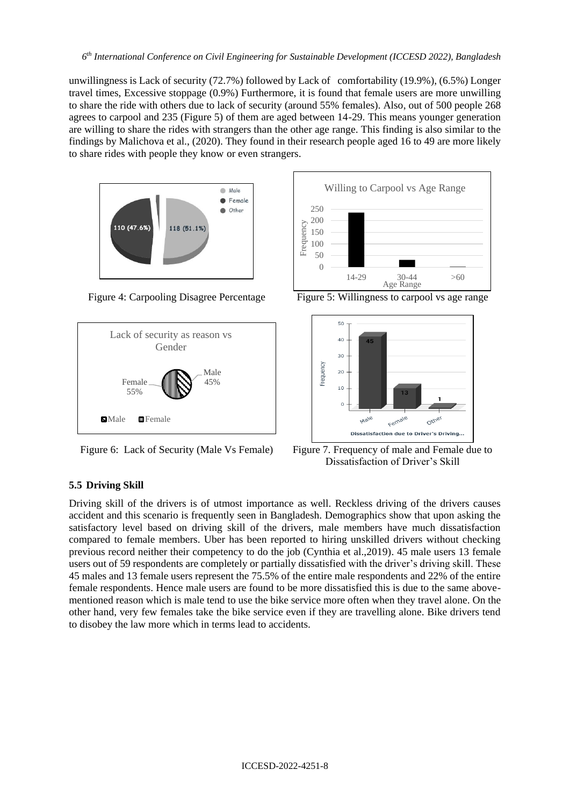unwillingness is Lack of security (72.7%) followed by Lack of comfortability (19.9%), (6.5%) Longer travel times, Excessive stoppage (0.9%) Furthermore, it is found that female users are more unwilling to share the ride with others due to lack of security (around 55% females). Also, out of 500 people 268 agrees to carpool and 235 (Figure 5) of them are aged between 14-29. This means younger generation are willing to share the rides with strangers than the other age range. This finding is also similar to the findings by Malichova et al., (2020). They found in their research people aged 16 to 49 are more likely to share rides with people they know or even strangers.



Figure 4: Carpooling Disagree Percentage Figure 5: Willingness to carpool vs age range







Figure 6: Lack of Security (Male Vs Female) Figure 7. Frequency of male and Female due to Dissatisfaction of Driver's Skill

# **5.5 Driving Skill**

Driving skill of the drivers is of utmost importance as well. Reckless driving of the drivers causes accident and this scenario is frequently seen in Bangladesh. Demographics show that upon asking the satisfactory level based on driving skill of the drivers, male members have much dissatisfaction compared to female members. Uber has been reported to hiring unskilled drivers without checking previous record neither their competency to do the job (Cynthia et al.,2019). 45 male users 13 female users out of 59 respondents are completely or partially dissatisfied with the driver's driving skill. These 45 males and 13 female users represent the 75.5% of the entire male respondents and 22% of the entire female respondents. Hence male users are found to be more dissatisfied this is due to the same abovementioned reason which is male tend to use the bike service more often when they travel alone. On the other hand, very few females take the bike service even if they are travelling alone. Bike drivers tend to disobey the law more which in terms lead to accidents.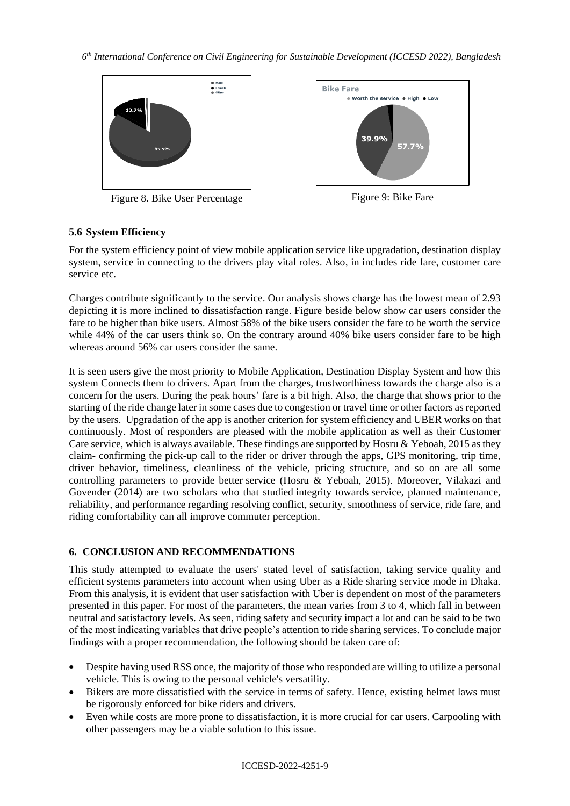*6 th International Conference on Civil Engineering for Sustainable Development (ICCESD 2022), Bangladesh*



Figure 8. Bike User Percentage Figure 9: Bike Fare



# **5.6 System Efficiency**

For the system efficiency point of view mobile application service like upgradation, destination display system, service in connecting to the drivers play vital roles. Also, in includes ride fare, customer care service etc.

Charges contribute significantly to the service. Our analysis shows charge has the lowest mean of 2.93 depicting it is more inclined to dissatisfaction range. Figure beside below show car users consider the fare to be higher than bike users. Almost 58% of the bike users consider the fare to be worth the service while 44% of the car users think so. On the contrary around 40% bike users consider fare to be high whereas around 56% car users consider the same.

It is seen users give the most priority to Mobile Application, Destination Display System and how this system Connects them to drivers. Apart from the charges, trustworthiness towards the charge also is a concern for the users. During the peak hours' fare is a bit high. Also, the charge that shows prior to the starting of the ride change later in some cases due to congestion or travel time or other factors as reported by the users. Upgradation of the app is another criterion for system efficiency and UBER works on that continuously. Most of responders are pleased with the mobile application as well as their Customer Care service, which is always available. These findings are supported by Hosru & Yeboah, 2015 as they claim- confirming the pick-up call to the rider or driver through the apps, GPS monitoring, trip time, driver behavior, timeliness, cleanliness of the vehicle, pricing structure, and so on are all some controlling parameters to provide better service (Hosru & Yeboah, 2015). Moreover, Vilakazi and Govender (2014) are two scholars who that studied integrity towards service, planned maintenance, reliability, and performance regarding resolving conflict, security, smoothness of service, ride fare, and riding comfortability can all improve commuter perception.

# **6. CONCLUSION AND RECOMMENDATIONS**

This study attempted to evaluate the users' stated level of satisfaction, taking service quality and efficient systems parameters into account when using Uber as a Ride sharing service mode in Dhaka. From this analysis, it is evident that user satisfaction with Uber is dependent on most of the parameters presented in this paper. For most of the parameters, the mean varies from 3 to 4, which fall in between neutral and satisfactory levels. As seen, riding safety and security impact a lot and can be said to be two of the most indicating variables that drive people's attention to ride sharing services. To conclude major findings with a proper recommendation, the following should be taken care of:

- Despite having used RSS once, the majority of those who responded are willing to utilize a personal vehicle. This is owing to the personal vehicle's versatility.
- Bikers are more dissatisfied with the service in terms of safety. Hence, existing helmet laws must be rigorously enforced for bike riders and drivers.
- Even while costs are more prone to dissatisfaction, it is more crucial for car users. Carpooling with other passengers may be a viable solution to this issue.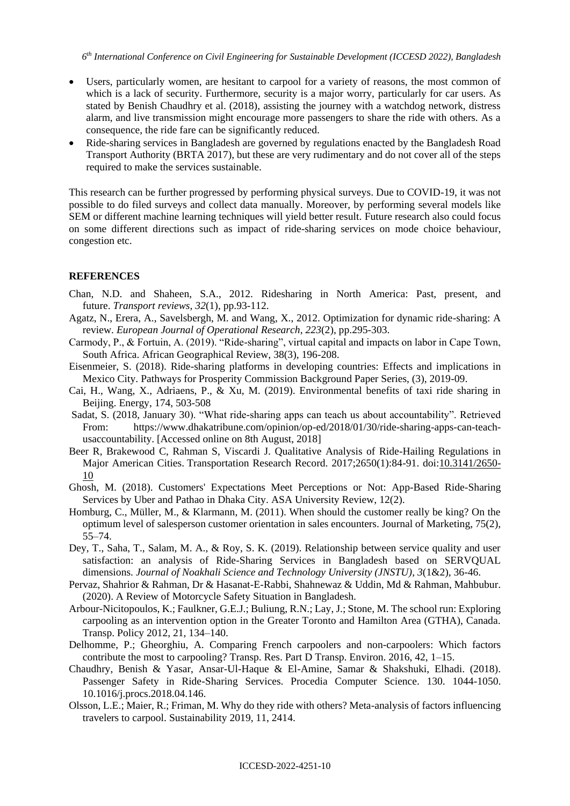*6 th International Conference on Civil Engineering for Sustainable Development (ICCESD 2022), Bangladesh*

- Users, particularly women, are hesitant to carpool for a variety of reasons, the most common of which is a lack of security. Furthermore, security is a major worry, particularly for car users. As stated by Benish Chaudhry et al. (2018), assisting the journey with a watchdog network, distress alarm, and live transmission might encourage more passengers to share the ride with others. As a consequence, the ride fare can be significantly reduced.
- Ride-sharing services in Bangladesh are governed by regulations enacted by the Bangladesh Road Transport Authority (BRTA 2017), but these are very rudimentary and do not cover all of the steps required to make the services sustainable.

This research can be further progressed by performing physical surveys. Due to COVID-19, it was not possible to do filed surveys and collect data manually. Moreover, by performing several models like SEM or different machine learning techniques will yield better result. Future research also could focus on some different directions such as impact of ride-sharing services on mode choice behaviour, congestion etc.

### **REFERENCES**

- Chan, N.D. and Shaheen, S.A., 2012. Ridesharing in North America: Past, present, and future. *Transport reviews*, *32*(1), pp.93-112.
- Agatz, N., Erera, A., Savelsbergh, M. and Wang, X., 2012. Optimization for dynamic ride-sharing: A review. *European Journal of Operational Research*, *223*(2), pp.295-303.
- Carmody, P., & Fortuin, A. (2019). "Ride-sharing", virtual capital and impacts on labor in Cape Town, South Africa. African Geographical Review, 38(3), 196-208.
- Eisenmeier, S. (2018). Ride-sharing platforms in developing countries: Effects and implications in Mexico City. Pathways for Prosperity Commission Background Paper Series, (3), 2019-09.
- Cai, H., Wang, X., Adriaens, P., & Xu, M. (2019). Environmental benefits of taxi ride sharing in Beijing. Energy, 174, 503-508
- Sadat, S. (2018, January 30). "What ride-sharing apps can teach us about accountability". Retrieved From: https://www.dhakatribune.com/opinion/op-ed/2018/01/30/ride-sharing-apps-can-teachusaccountability. [Accessed online on 8th August, 2018]
- Beer R, Brakewood C, Rahman S, Viscardi J. Qualitative Analysis of Ride-Hailing Regulations in Major American Cities. Transportation Research Record. 2017;2650(1):84-91. doi[:10.3141/2650-](https://doi.org/10.3141/2650-10) [10](https://doi.org/10.3141/2650-10)
- Ghosh, M. (2018). Customers' Expectations Meet Perceptions or Not: App-Based Ride-Sharing Services by Uber and Pathao in Dhaka City. ASA University Review, 12(2).
- Homburg, C., Müller, M., & Klarmann, M. (2011). When should the customer really be king? On the optimum level of salesperson customer orientation in sales encounters. Journal of Marketing, 75(2), 55–74.
- Dey, T., Saha, T., Salam, M. A., & Roy, S. K. (2019). Relationship between service quality and user satisfaction: an analysis of Ride-Sharing Services in Bangladesh based on SERVQUAL dimensions. *Journal of Noakhali Science and Technology University (JNSTU)*, *3*(1&2), 36-46.
- Pervaz, Shahrior & Rahman, Dr & Hasanat-E-Rabbi, Shahnewaz & Uddin, Md & Rahman, Mahbubur. (2020). A Review of Motorcycle Safety Situation in Bangladesh.
- Arbour-Nicitopoulos, K.; Faulkner, G.E.J.; Buliung, R.N.; Lay, J.; Stone, M. The school run: Exploring carpooling as an intervention option in the Greater Toronto and Hamilton Area (GTHA), Canada. Transp. Policy 2012, 21, 134–140.
- Delhomme, P.; Gheorghiu, A. Comparing French carpoolers and non-carpoolers: Which factors contribute the most to carpooling? Transp. Res. Part D Transp. Environ. 2016, 42, 1–15.
- Chaudhry, Benish & Yasar, Ansar-Ul-Haque & El-Amine, Samar & Shakshuki, Elhadi. (2018). Passenger Safety in Ride-Sharing Services. Procedia Computer Science. 130. 1044-1050. 10.1016/j.procs.2018.04.146.
- Olsson, L.E.; Maier, R.; Friman, M. Why do they ride with others? Meta-analysis of factors influencing travelers to carpool. Sustainability 2019, 11, 2414.